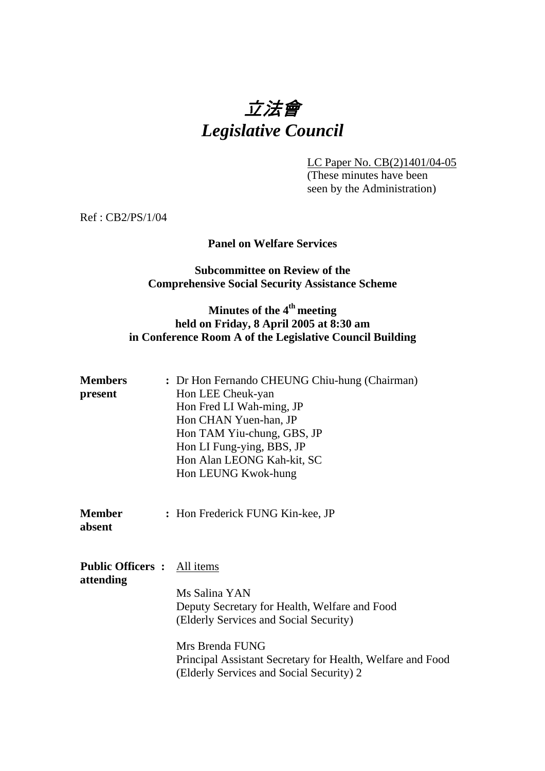# 立法會 *Legislative Council*

LC Paper No. CB(2)1401/04-05 (These minutes have been seen by the Administration)

Ref : CB2/PS/1/04

### **Panel on Welfare Services**

### **Subcommittee on Review of the Comprehensive Social Security Assistance Scheme**

## Minutes of the 4<sup>th</sup> meeting **held on Friday, 8 April 2005 at 8:30 am in Conference Room A of the Legislative Council Building**

| Members<br>present                              | : Dr Hon Fernando CHEUNG Chiu-hung (Chairman)<br>Hon LEE Cheuk-yan<br>Hon Fred LI Wah-ming, JP<br>Hon CHAN Yuen-han, JP<br>Hon TAM Yiu-chung, GBS, JP<br>Hon LI Fung-ying, BBS, JP<br>Hon Alan LEONG Kah-kit, SC<br>Hon LEUNG Kwok-hung |
|-------------------------------------------------|-----------------------------------------------------------------------------------------------------------------------------------------------------------------------------------------------------------------------------------------|
| Member<br>absent                                | : Hon Frederick FUNG Kin-kee, JP                                                                                                                                                                                                        |
| <b>Public Officers :</b> All items<br>attending | Ms Salina YAN<br>Deputy Secretary for Health, Welfare and Food<br>(Elderly Services and Social Security)<br>Mrs Brenda FUNG<br>Principal Assistant Secretary for Health, Welfare and Food<br>(Elderly Services and Social Security) 2   |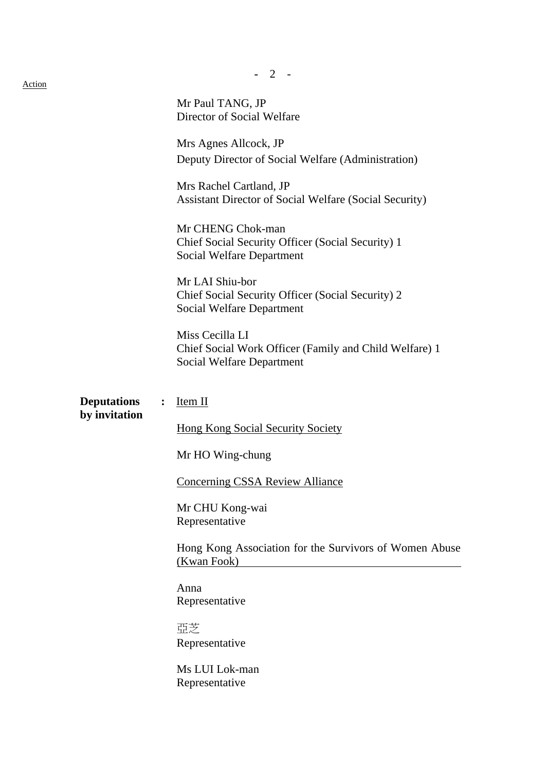|                                     |                | 2                                                                                                             |
|-------------------------------------|----------------|---------------------------------------------------------------------------------------------------------------|
| <u>Action</u>                       |                | Mr Paul TANG, JP<br>Director of Social Welfare                                                                |
|                                     |                | Mrs Agnes Allcock, JP<br>Deputy Director of Social Welfare (Administration)                                   |
|                                     |                | Mrs Rachel Cartland, JP<br>Assistant Director of Social Welfare (Social Security)                             |
|                                     |                | Mr CHENG Chok-man<br>Chief Social Security Officer (Social Security) 1<br><b>Social Welfare Department</b>    |
|                                     |                | Mr LAI Shiu-bor<br>Chief Social Security Officer (Social Security) 2<br><b>Social Welfare Department</b>      |
|                                     |                | Miss Cecilla LI<br>Chief Social Work Officer (Family and Child Welfare) 1<br><b>Social Welfare Department</b> |
| <b>Deputations</b><br>by invitation | $\ddot{\cdot}$ | Item II                                                                                                       |
|                                     |                | <b>Hong Kong Social Security Society</b>                                                                      |
|                                     |                | Mr HO Wing-chung                                                                                              |
|                                     |                | <b>Concerning CSSA Review Alliance</b>                                                                        |
|                                     |                | Mr CHU Kong-wai<br>Representative                                                                             |
|                                     |                | Hong Kong Association for the Survivors of Women Abuse<br>(Kwan Fook)                                         |
|                                     |                | Anna<br>Representative                                                                                        |
|                                     |                | 亞芝<br>Representative                                                                                          |
|                                     |                | Ms LUI Lok-man<br>Representative                                                                              |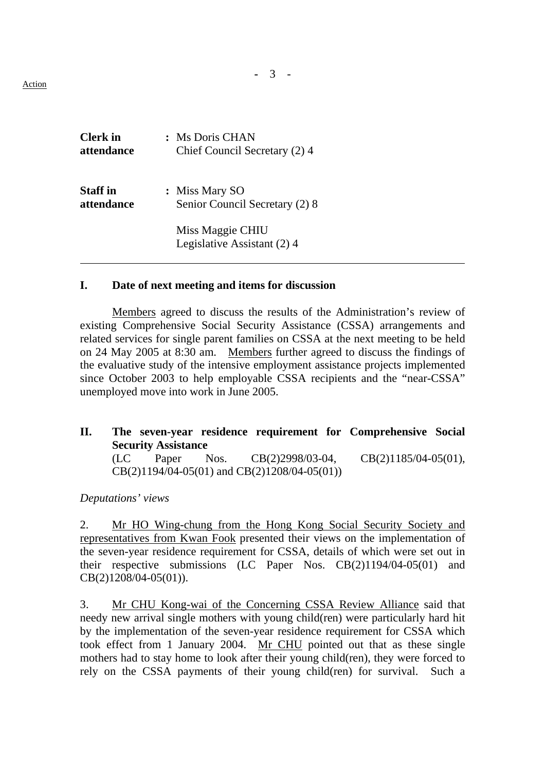**-** 3 - Action

| <b>Clerk</b> in | : Ms Doris CHAN                                 |
|-----------------|-------------------------------------------------|
| attendance      | Chief Council Secretary (2) 4                   |
| <b>Staff</b> in | : Miss Mary SO                                  |
| attendance      | Senior Council Secretary (2) 8                  |
|                 | Miss Maggie CHIU<br>Legislative Assistant (2) 4 |

### **I. Date of next meeting and items for discussion**

 Members agreed to discuss the results of the Administration's review of existing Comprehensive Social Security Assistance (CSSA) arrangements and related services for single parent families on CSSA at the next meeting to be held on 24 May 2005 at 8:30 am. Members further agreed to discuss the findings of the evaluative study of the intensive employment assistance projects implemented since October 2003 to help employable CSSA recipients and the "near-CSSA" unemployed move into work in June 2005.

**II. The seven-year residence requirement for Comprehensive Social Security Assistance** (LC Paper Nos. CB(2)2998/03-04, CB(2)1185/04-05(01), CB(2)1194/04-05(01) and CB(2)1208/04-05(01))

### *Deputations' views*

 2. Mr HO Wing-chung from the Hong Kong Social Security Society and representatives from Kwan Fook presented their views on the implementation of the seven-year residence requirement for CSSA, details of which were set out in their respective submissions (LC Paper Nos. CB(2)1194/04-05(01) and CB(2)1208/04-05(01)).

3. Mr CHU Kong-wai of the Concerning CSSA Review Alliance said that needy new arrival single mothers with young child(ren) were particularly hard hit by the implementation of the seven-year residence requirement for CSSA which took effect from 1 January 2004. Mr CHU pointed out that as these single mothers had to stay home to look after their young child(ren), they were forced to rely on the CSSA payments of their young child(ren) for survival. Such a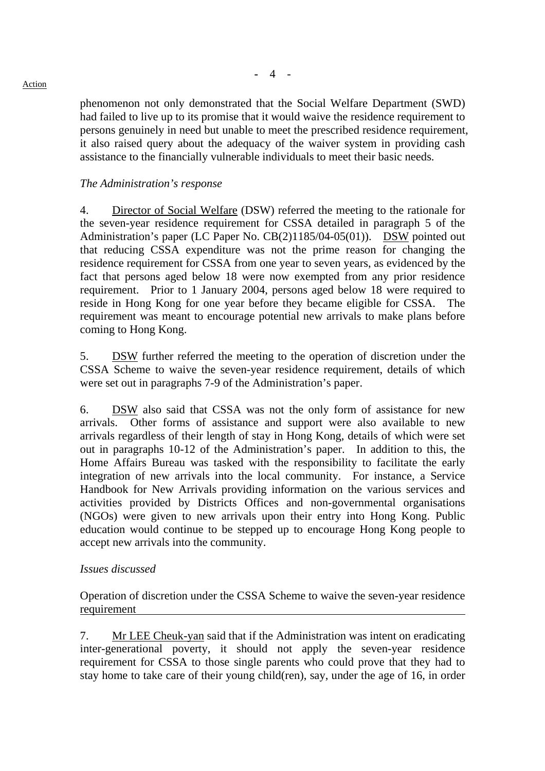phenomenon not only demonstrated that the Social Welfare Department (SWD) had failed to live up to its promise that it would waive the residence requirement to persons genuinely in need but unable to meet the prescribed residence requirement, it also raised query about the adequacy of the waiver system in providing cash assistance to the financially vulnerable individuals to meet their basic needs.

### *The Administration's response*

4. Director of Social Welfare (DSW) referred the meeting to the rationale for the seven-year residence requirement for CSSA detailed in paragraph 5 of the Administration's paper (LC Paper No. CB(2)1185/04-05(01)). DSW pointed out that reducing CSSA expenditure was not the prime reason for changing the residence requirement for CSSA from one year to seven years, as evidenced by the fact that persons aged below 18 were now exempted from any prior residence requirement. Prior to 1 January 2004, persons aged below 18 were required to reside in Hong Kong for one year before they became eligible for CSSA. The requirement was meant to encourage potential new arrivals to make plans before coming to Hong Kong.

5. DSW further referred the meeting to the operation of discretion under the CSSA Scheme to waive the seven-year residence requirement, details of which were set out in paragraphs 7-9 of the Administration's paper.

6. DSW also said that CSSA was not the only form of assistance for new arrivals. Other forms of assistance and support were also available to new arrivals regardless of their length of stay in Hong Kong, details of which were set out in paragraphs 10-12 of the Administration's paper. In addition to this, the Home Affairs Bureau was tasked with the responsibility to facilitate the early integration of new arrivals into the local community. For instance, a Service Handbook for New Arrivals providing information on the various services and activities provided by Districts Offices and non-governmental organisations (NGOs) were given to new arrivals upon their entry into Hong Kong. Public education would continue to be stepped up to encourage Hong Kong people to accept new arrivals into the community.

### *Issues discussed*

Operation of discretion under the CSSA Scheme to waive the seven-year residence requirement

7. Mr LEE Cheuk-yan said that if the Administration was intent on eradicating inter-generational poverty, it should not apply the seven-year residence requirement for CSSA to those single parents who could prove that they had to stay home to take care of their young child(ren), say, under the age of 16, in order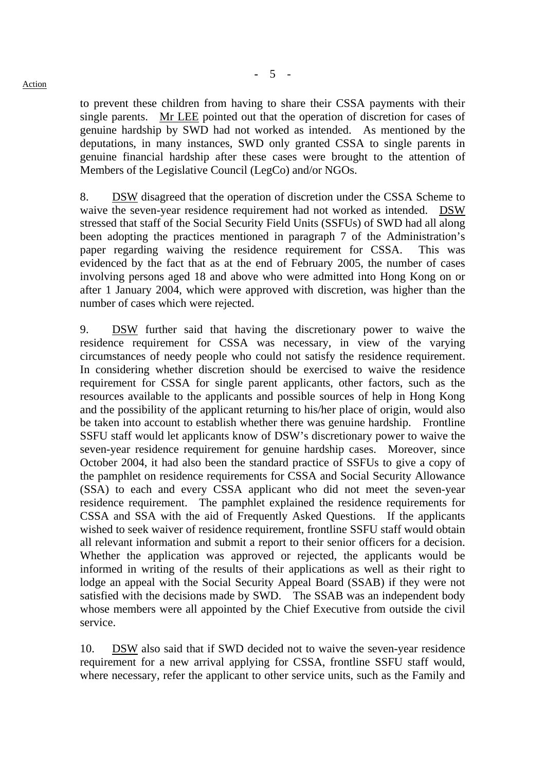to prevent these children from having to share their CSSA payments with their single parents. Mr LEE pointed out that the operation of discretion for cases of genuine hardship by SWD had not worked as intended. As mentioned by the deputations, in many instances, SWD only granted CSSA to single parents in genuine financial hardship after these cases were brought to the attention of Members of the Legislative Council (LegCo) and/or NGOs.

8. DSW disagreed that the operation of discretion under the CSSA Scheme to waive the seven-year residence requirement had not worked as intended. DSW stressed that staff of the Social Security Field Units (SSFUs) of SWD had all along been adopting the practices mentioned in paragraph 7 of the Administration's paper regarding waiving the residence requirement for CSSA. This was evidenced by the fact that as at the end of February 2005, the number of cases involving persons aged 18 and above who were admitted into Hong Kong on or after 1 January 2004, which were approved with discretion, was higher than the number of cases which were rejected.

9. DSW further said that having the discretionary power to waive the residence requirement for CSSA was necessary, in view of the varying circumstances of needy people who could not satisfy the residence requirement. In considering whether discretion should be exercised to waive the residence requirement for CSSA for single parent applicants, other factors, such as the resources available to the applicants and possible sources of help in Hong Kong and the possibility of the applicant returning to his/her place of origin, would also be taken into account to establish whether there was genuine hardship. Frontline SSFU staff would let applicants know of DSW's discretionary power to waive the seven-year residence requirement for genuine hardship cases. Moreover, since October 2004, it had also been the standard practice of SSFUs to give a copy of the pamphlet on residence requirements for CSSA and Social Security Allowance (SSA) to each and every CSSA applicant who did not meet the seven-year residence requirement. The pamphlet explained the residence requirements for CSSA and SSA with the aid of Frequently Asked Questions. If the applicants wished to seek waiver of residence requirement, frontline SSFU staff would obtain all relevant information and submit a report to their senior officers for a decision. Whether the application was approved or rejected, the applicants would be informed in writing of the results of their applications as well as their right to lodge an appeal with the Social Security Appeal Board (SSAB) if they were not satisfied with the decisions made by SWD. The SSAB was an independent body whose members were all appointed by the Chief Executive from outside the civil service.

10. DSW also said that if SWD decided not to waive the seven-year residence requirement for a new arrival applying for CSSA, frontline SSFU staff would, where necessary, refer the applicant to other service units, such as the Family and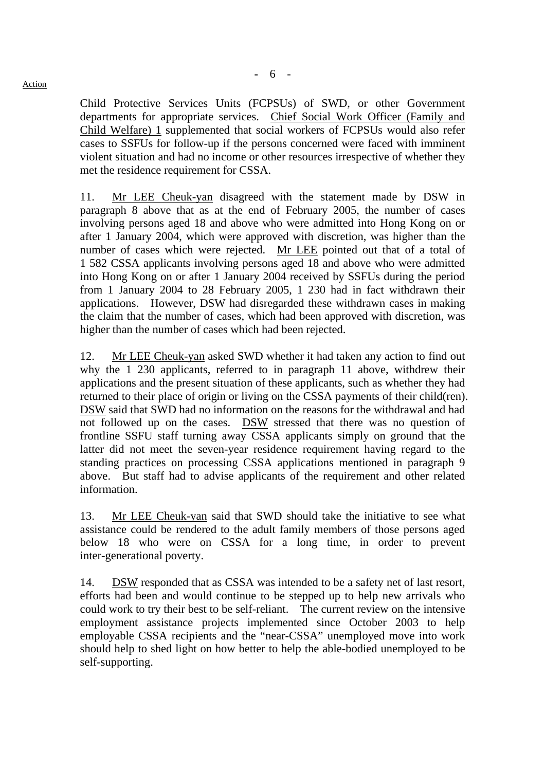Child Protective Services Units (FCPSUs) of SWD, or other Government departments for appropriate services. Chief Social Work Officer (Family and Child Welfare) 1 supplemented that social workers of FCPSUs would also refer cases to SSFUs for follow-up if the persons concerned were faced with imminent violent situation and had no income or other resources irrespective of whether they met the residence requirement for CSSA.

11. Mr LEE Cheuk-yan disagreed with the statement made by DSW in paragraph 8 above that as at the end of February 2005, the number of cases involving persons aged 18 and above who were admitted into Hong Kong on or after 1 January 2004, which were approved with discretion, was higher than the number of cases which were rejected. Mr LEE pointed out that of a total of 1 582 CSSA applicants involving persons aged 18 and above who were admitted into Hong Kong on or after 1 January 2004 received by SSFUs during the period from 1 January 2004 to 28 February 2005, 1 230 had in fact withdrawn their applications. However, DSW had disregarded these withdrawn cases in making the claim that the number of cases, which had been approved with discretion, was higher than the number of cases which had been rejected.

12. Mr LEE Cheuk-yan asked SWD whether it had taken any action to find out why the 1 230 applicants, referred to in paragraph 11 above, withdrew their applications and the present situation of these applicants, such as whether they had returned to their place of origin or living on the CSSA payments of their child(ren). DSW said that SWD had no information on the reasons for the withdrawal and had not followed up on the cases. DSW stressed that there was no question of frontline SSFU staff turning away CSSA applicants simply on ground that the latter did not meet the seven-year residence requirement having regard to the standing practices on processing CSSA applications mentioned in paragraph 9 above. But staff had to advise applicants of the requirement and other related information.

13. Mr LEE Cheuk-yan said that SWD should take the initiative to see what assistance could be rendered to the adult family members of those persons aged below 18 who were on CSSA for a long time, in order to prevent inter-generational poverty.

14. DSW responded that as CSSA was intended to be a safety net of last resort, efforts had been and would continue to be stepped up to help new arrivals who could work to try their best to be self-reliant. The current review on the intensive employment assistance projects implemented since October 2003 to help employable CSSA recipients and the "near-CSSA" unemployed move into work should help to shed light on how better to help the able-bodied unemployed to be self-supporting.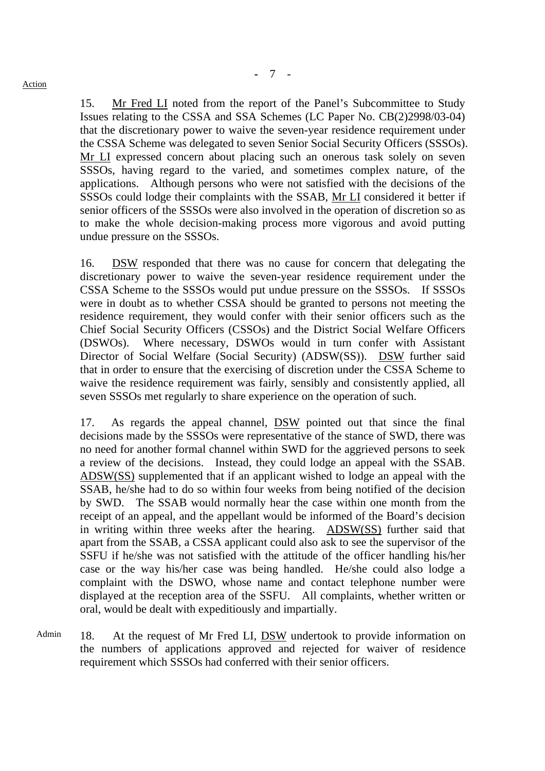15. Mr Fred LI noted from the report of the Panel's Subcommittee to Study Issues relating to the CSSA and SSA Schemes (LC Paper No. CB(2)2998/03-04) that the discretionary power to waive the seven-year residence requirement under the CSSA Scheme was delegated to seven Senior Social Security Officers (SSSOs). Mr LI expressed concern about placing such an onerous task solely on seven SSSOs, having regard to the varied, and sometimes complex nature, of the applications. Although persons who were not satisfied with the decisions of the SSSOs could lodge their complaints with the SSAB, Mr LI considered it better if senior officers of the SSSOs were also involved in the operation of discretion so as to make the whole decision-making process more vigorous and avoid putting undue pressure on the SSSOs.

16. DSW responded that there was no cause for concern that delegating the discretionary power to waive the seven-year residence requirement under the CSSA Scheme to the SSSOs would put undue pressure on the SSSOs. If SSSOs were in doubt as to whether CSSA should be granted to persons not meeting the residence requirement, they would confer with their senior officers such as the Chief Social Security Officers (CSSOs) and the District Social Welfare Officers (DSWOs). Where necessary, DSWOs would in turn confer with Assistant Director of Social Welfare (Social Security) (ADSW(SS)). DSW further said that in order to ensure that the exercising of discretion under the CSSA Scheme to waive the residence requirement was fairly, sensibly and consistently applied, all seven SSSOs met regularly to share experience on the operation of such.

17. As regards the appeal channel, DSW pointed out that since the final decisions made by the SSSOs were representative of the stance of SWD, there was no need for another formal channel within SWD for the aggrieved persons to seek a review of the decisions. Instead, they could lodge an appeal with the SSAB. ADSW(SS) supplemented that if an applicant wished to lodge an appeal with the SSAB, he/she had to do so within four weeks from being notified of the decision by SWD. The SSAB would normally hear the case within one month from the receipt of an appeal, and the appellant would be informed of the Board's decision in writing within three weeks after the hearing. ADSW(SS) further said that apart from the SSAB, a CSSA applicant could also ask to see the supervisor of the SSFU if he/she was not satisfied with the attitude of the officer handling his/her case or the way his/her case was being handled. He/she could also lodge a complaint with the DSWO, whose name and contact telephone number were displayed at the reception area of the SSFU. All complaints, whether written or oral, would be dealt with expeditiously and impartially.

Admin 18. At the request of Mr Fred LI, DSW undertook to provide information on the numbers of applications approved and rejected for waiver of residence requirement which SSSOs had conferred with their senior officers.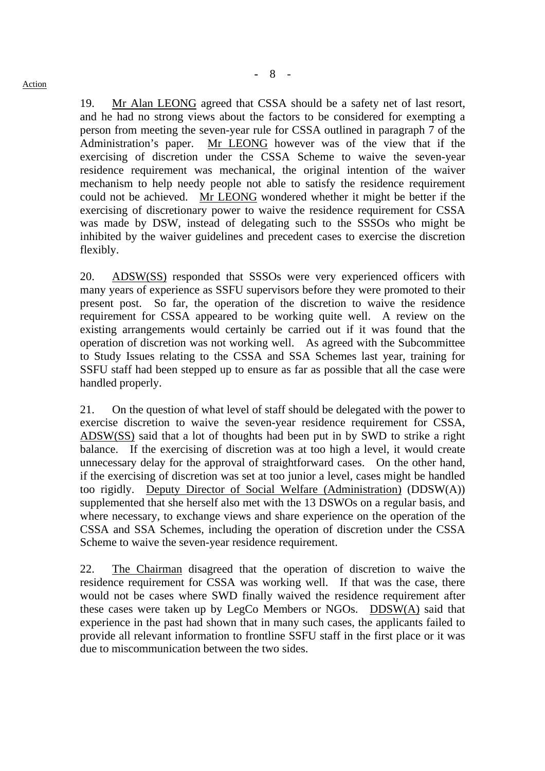19. Mr Alan LEONG agreed that CSSA should be a safety net of last resort, and he had no strong views about the factors to be considered for exempting a person from meeting the seven-year rule for CSSA outlined in paragraph 7 of the Administration's paper. Mr LEONG however was of the view that if the exercising of discretion under the CSSA Scheme to waive the seven-year residence requirement was mechanical, the original intention of the waiver mechanism to help needy people not able to satisfy the residence requirement could not be achieved. Mr LEONG wondered whether it might be better if the exercising of discretionary power to waive the residence requirement for CSSA was made by DSW, instead of delegating such to the SSSOs who might be inhibited by the waiver guidelines and precedent cases to exercise the discretion flexibly.

20. ADSW(SS) responded that SSSOs were very experienced officers with many years of experience as SSFU supervisors before they were promoted to their present post. So far, the operation of the discretion to waive the residence requirement for CSSA appeared to be working quite well. A review on the existing arrangements would certainly be carried out if it was found that the operation of discretion was not working well. As agreed with the Subcommittee to Study Issues relating to the CSSA and SSA Schemes last year, training for SSFU staff had been stepped up to ensure as far as possible that all the case were handled properly.

21. On the question of what level of staff should be delegated with the power to exercise discretion to waive the seven-year residence requirement for CSSA, ADSW(SS) said that a lot of thoughts had been put in by SWD to strike a right balance. If the exercising of discretion was at too high a level, it would create unnecessary delay for the approval of straightforward cases. On the other hand, if the exercising of discretion was set at too junior a level, cases might be handled too rigidly. Deputy Director of Social Welfare (Administration) (DDSW(A)) supplemented that she herself also met with the 13 DSWOs on a regular basis, and where necessary, to exchange views and share experience on the operation of the CSSA and SSA Schemes, including the operation of discretion under the CSSA Scheme to waive the seven-year residence requirement.

22. The Chairman disagreed that the operation of discretion to waive the residence requirement for CSSA was working well. If that was the case, there would not be cases where SWD finally waived the residence requirement after these cases were taken up by LegCo Members or NGOs. DDSW(A) said that experience in the past had shown that in many such cases, the applicants failed to provide all relevant information to frontline SSFU staff in the first place or it was due to miscommunication between the two sides.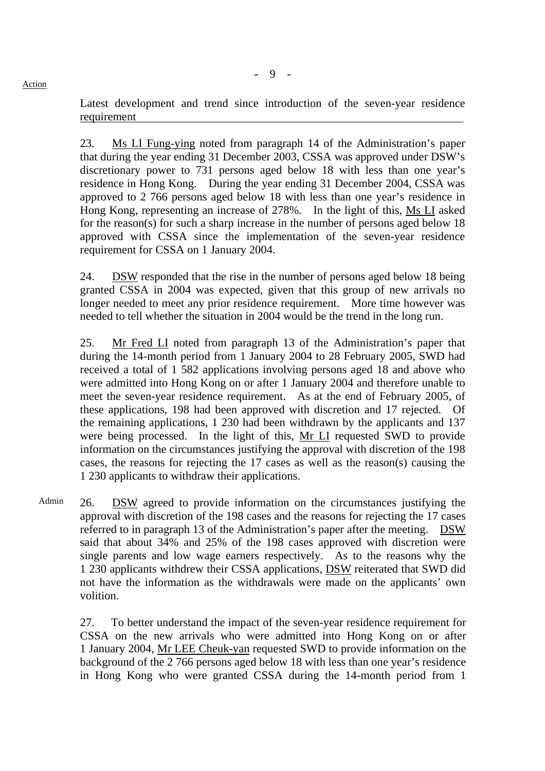Latest development and trend since introduction of the seven-year residence requirement

23. Ms LI Fung-ying noted from paragraph 14 of the Administration's paper that during the year ending 31 December 2003, CSSA was approved under DSW's discretionary power to 731 persons aged below 18 with less than one year's residence in Hong Kong. During the year ending 31 December 2004, CSSA was approved to 2 766 persons aged below 18 with less than one year's residence in Hong Kong, representing an increase of 278%. In the light of this, Ms LI asked for the reason(s) for such a sharp increase in the number of persons aged below 18 approved with CSSA since the implementation of the seven-year residence requirement for CSSA on 1 January 2004.

24. DSW responded that the rise in the number of persons aged below 18 being granted CSSA in 2004 was expected, given that this group of new arrivals no longer needed to meet any prior residence requirement. More time however was needed to tell whether the situation in 2004 would be the trend in the long run.

25. Mr Fred LI noted from paragraph 13 of the Administration's paper that during the 14-month period from 1 January 2004 to 28 February 2005, SWD had received a total of 1 582 applications involving persons aged 18 and above who were admitted into Hong Kong on or after 1 January 2004 and therefore unable to meet the seven-year residence requirement. As at the end of February 2005, of these applications, 198 had been approved with discretion and 17 rejected. Of the remaining applications, 1 230 had been withdrawn by the applicants and 137 were being processed. In the light of this, Mr LI requested SWD to provide information on the circumstances justifying the approval with discretion of the 198 cases, the reasons for rejecting the 17 cases as well as the reason(s) causing the 1 230 applicants to withdraw their applications.

Admin 26. DSW agreed to provide information on the circumstances justifying the approval with discretion of the 198 cases and the reasons for rejecting the 17 cases referred to in paragraph 13 of the Administration's paper after the meeting. DSW said that about 34% and 25% of the 198 cases approved with discretion were single parents and low wage earners respectively. As to the reasons why the 1 230 applicants withdrew their CSSA applications, DSW reiterated that SWD did not have the information as the withdrawals were made on the applicants' own volition.

27. To better understand the impact of the seven-year residence requirement for CSSA on the new arrivals who were admitted into Hong Kong on or after 1 January 2004, Mr LEE Cheuk-yan requested SWD to provide information on the background of the 2 766 persons aged below 18 with less than one year's residence in Hong Kong who were granted CSSA during the 14-month period from 1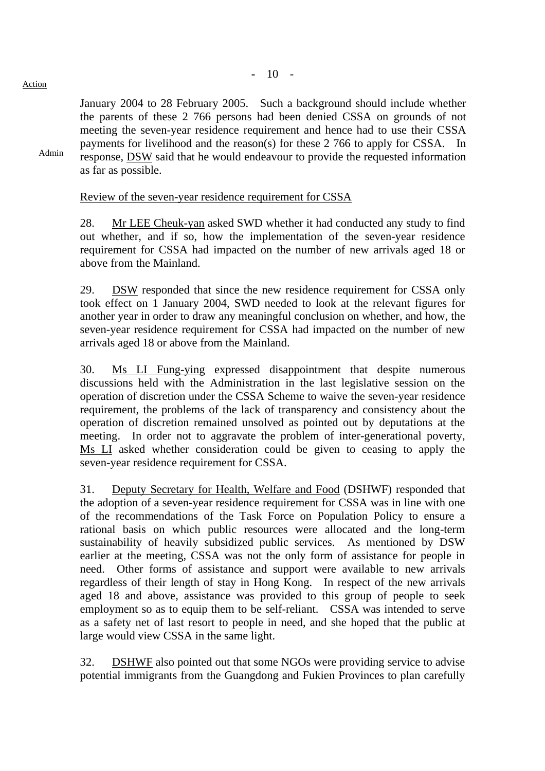Admin

January 2004 to 28 February 2005. Such a background should include whether the parents of these 2 766 persons had been denied CSSA on grounds of not meeting the seven-year residence requirement and hence had to use their CSSA payments for livelihood and the reason(s) for these 2 766 to apply for CSSA. In response, DSW said that he would endeavour to provide the requested information as far as possible.

### Review of the seven-year residence requirement for CSSA

28. Mr LEE Cheuk-yan asked SWD whether it had conducted any study to find out whether, and if so, how the implementation of the seven-year residence requirement for CSSA had impacted on the number of new arrivals aged 18 or above from the Mainland.

29. DSW responded that since the new residence requirement for CSSA only took effect on 1 January 2004, SWD needed to look at the relevant figures for another year in order to draw any meaningful conclusion on whether, and how, the seven-year residence requirement for CSSA had impacted on the number of new arrivals aged 18 or above from the Mainland.

30. Ms LI Fung-ying expressed disappointment that despite numerous discussions held with the Administration in the last legislative session on the operation of discretion under the CSSA Scheme to waive the seven-year residence requirement, the problems of the lack of transparency and consistency about the operation of discretion remained unsolved as pointed out by deputations at the meeting. In order not to aggravate the problem of inter-generational poverty, Ms LI asked whether consideration could be given to ceasing to apply the seven-year residence requirement for CSSA.

31. Deputy Secretary for Health, Welfare and Food (DSHWF) responded that the adoption of a seven-year residence requirement for CSSA was in line with one of the recommendations of the Task Force on Population Policy to ensure a rational basis on which public resources were allocated and the long-term sustainability of heavily subsidized public services. As mentioned by DSW earlier at the meeting, CSSA was not the only form of assistance for people in need. Other forms of assistance and support were available to new arrivals regardless of their length of stay in Hong Kong. In respect of the new arrivals aged 18 and above, assistance was provided to this group of people to seek employment so as to equip them to be self-reliant. CSSA was intended to serve as a safety net of last resort to people in need, and she hoped that the public at large would view CSSA in the same light.

32. DSHWF also pointed out that some NGOs were providing service to advise potential immigrants from the Guangdong and Fukien Provinces to plan carefully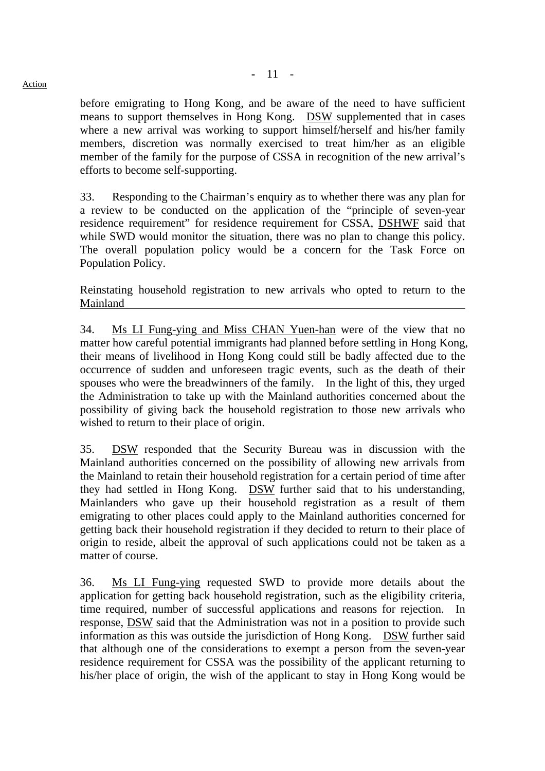before emigrating to Hong Kong, and be aware of the need to have sufficient means to support themselves in Hong Kong. DSW supplemented that in cases where a new arrival was working to support himself/herself and his/her family members, discretion was normally exercised to treat him/her as an eligible member of the family for the purpose of CSSA in recognition of the new arrival's efforts to become self-supporting.

33. Responding to the Chairman's enquiry as to whether there was any plan for a review to be conducted on the application of the "principle of seven-year residence requirement" for residence requirement for CSSA, DSHWF said that while SWD would monitor the situation, there was no plan to change this policy. The overall population policy would be a concern for the Task Force on Population Policy.

Reinstating household registration to new arrivals who opted to return to the Mainland

34. Ms LI Fung-ying and Miss CHAN Yuen-han were of the view that no matter how careful potential immigrants had planned before settling in Hong Kong, their means of livelihood in Hong Kong could still be badly affected due to the occurrence of sudden and unforeseen tragic events, such as the death of their spouses who were the breadwinners of the family. In the light of this, they urged the Administration to take up with the Mainland authorities concerned about the possibility of giving back the household registration to those new arrivals who wished to return to their place of origin.

35. DSW responded that the Security Bureau was in discussion with the Mainland authorities concerned on the possibility of allowing new arrivals from the Mainland to retain their household registration for a certain period of time after they had settled in Hong Kong. DSW further said that to his understanding, Mainlanders who gave up their household registration as a result of them emigrating to other places could apply to the Mainland authorities concerned for getting back their household registration if they decided to return to their place of origin to reside, albeit the approval of such applications could not be taken as a matter of course.

36. Ms LI Fung-ying requested SWD to provide more details about the application for getting back household registration, such as the eligibility criteria, time required, number of successful applications and reasons for rejection. In response, DSW said that the Administration was not in a position to provide such information as this was outside the jurisdiction of Hong Kong. DSW further said that although one of the considerations to exempt a person from the seven-year residence requirement for CSSA was the possibility of the applicant returning to his/her place of origin, the wish of the applicant to stay in Hong Kong would be